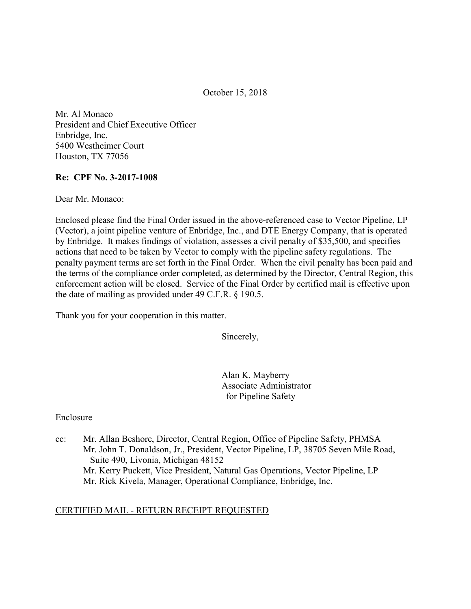October 15, 2018

 Mr. Al Monaco President and Chief Executive Officer Enbridge, Inc. 5400 Westheimer Court Houston, TX 77056

### Re: CPF No. 3-2017-1008

Dear Mr. Monaco:

 Enclosed please find the Final Order issued in the above-referenced case to Vector Pipeline, LP (Vector), a joint pipeline venture of Enbridge, Inc., and DTE Energy Company, that is operated by Enbridge. It makes findings of violation, assesses a civil penalty of \$35,500, and specifies actions that need to be taken by Vector to comply with the pipeline safety regulations. The penalty payment terms are set forth in the Final Order. When the civil penalty has been paid and the terms of the compliance order completed, as determined by the Director, Central Region, this enforcement action will be closed. Service of the Final Order by certified mail is effective upon the date of mailing as provided under 49 C.F.R. § 190.5.

Thank you for your cooperation in this matter.

Sincerely,

 Alan K. Mayberry Associate Administrator for Pipeline Safety

#### Enclosure

 $cc$ : Suite 490, Livonia, Michigan 48152 Mr. Kerry Puckett, Vice President, Natural Gas Operations, Vector Pipeline, LP Mr. Allan Beshore, Director, Central Region, Office of Pipeline Safety, PHMSA Mr. John T. Donaldson, Jr., President, Vector Pipeline, LP, 38705 Seven Mile Road, Mr. Rick Kivela, Manager, Operational Compliance, Enbridge, Inc.

# CERTIFIED MAIL - RETURN RECEIPT REQUESTED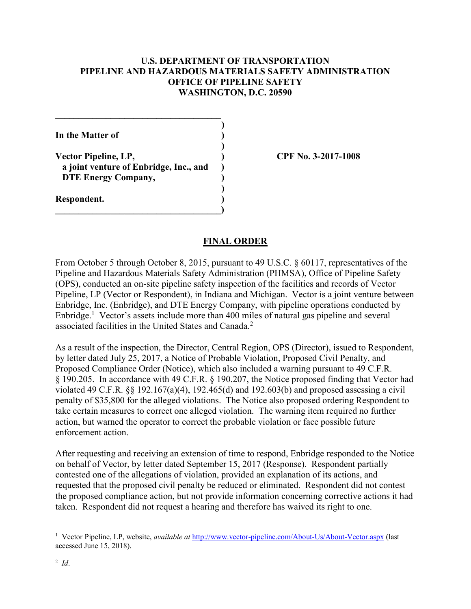## U.S. DEPARTMENT OF TRANSPORTATION PIPELINE AND HAZARDOUS MATERIALS SAFETY ADMINISTRATION OFFICE OF PIPELINE SAFETY WASHINGTON, D.C. 20590

)

)

)

In the Matter of  $($ 

Vector Pipeline, LP, (2008) CPF No. 3-2017-1008 a joint venture of Enbridge, Inc., and ) DTE Energy Company,

 $\qquad \qquad \Box$ 

 $\mathcal{L}_\text{max}$  and  $\mathcal{L}_\text{max}$  and  $\mathcal{L}_\text{max}$  and  $\mathcal{L}_\text{max}$ 

Respondent. )

## FINAL ORDER

 From October 5 through October 8, 2015, pursuant to 49 U.S.C. § 60117, representatives of the Pipeline and Hazardous Materials Safety Administration (PHMSA), Office of Pipeline Safety (OPS), conducted an on-site pipeline safety inspection of the facilities and records of Vector Pipeline, LP (Vector or Respondent), in Indiana and Michigan. Vector is a joint venture between Enbridge, Inc. (Enbridge), and DTE Energy Company, with pipeline operations conducted by Enbridge.<sup>1</sup> Vector's assets include more than 400 miles of natural gas pipeline and several associated facilities in the United States and Canada.<sup>2</sup>

 As a result of the inspection, the Director, Central Region, OPS (Director), issued to Respondent, by letter dated July 25, 2017, a Notice of Probable Violation, Proposed Civil Penalty, and Proposed Compliance Order (Notice), which also included a warning pursuant to 49 C.F.R. § 190.205. In accordance with 49 C.F.R. § 190.207, the Notice proposed finding that Vector had violated 49 C.F.R. §§ 192.167(a)(4), 192.465(d) and 192.603(b) and proposed assessing a civil penalty of \$35,800 for the alleged violations. The Notice also proposed ordering Respondent to take certain measures to correct one alleged violation. The warning item required no further action, but warned the operator to correct the probable violation or face possible future enforcement action.

 After requesting and receiving an extension of time to respond, Enbridge responded to the Notice on behalf of Vector, by letter dated September 15, 2017 (Response). Respondent partially contested one of the allegations of violation, provided an explanation of its actions, and requested that the proposed civil penalty be reduced or eliminated. Respondent did not contest the proposed compliance action, but not provide information concerning corrective actions it had taken. Respondent did not request a hearing and therefore has waived its right to one.

1

<sup>&</sup>lt;sup>1</sup> Vector Pipeline, LP, website, *available at* http://www.vector-pipeline.com/About-Us/About-Vector.aspx (last accessed June 15, 2018).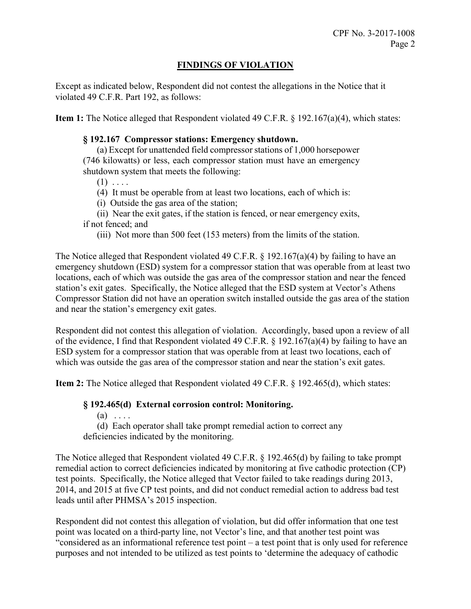# FINDINGS OF VIOLATION

 Except as indicated below, Respondent did not contest the allegations in the Notice that it violated 49 C.F.R. Part 192, as follows:

Item 1: The Notice alleged that Respondent violated 49 C.F.R. § 192.167(a)(4), which states:

## § 192.167 Compressor stations: Emergency shutdown.

(a) Except for unattended field compressor stations of 1,000 horsepower (746 kilowatts) or less, each compressor station must have an emergency shutdown system that meets the following:

 $(1) \ldots$ 

- (4) It must be operable from at least two locations, each of which is:
- (i) Outside the gas area of the station;

 (ii) Near the exit gates, if the station is fenced, or near emergency exits, if not fenced; and

(iii) Not more than 500 feet (153 meters) from the limits of the station.

 The Notice alleged that Respondent violated 49 C.F.R. § 192.167(a)(4) by failing to have an emergency shutdown (ESD) system for a compressor station that was operable from at least two locations, each of which was outside the gas area of the compressor station and near the fenced station's exit gates. Specifically, the Notice alleged that the ESD system at Vector's Athens Compressor Station did not have an operation switch installed outside the gas area of the station and near the station's emergency exit gates.

 Respondent did not contest this allegation of violation. Accordingly, based upon a review of all of the evidence, I find that Respondent violated 49 C.F.R. § 192.167(a)(4) by failing to have an ESD system for a compressor station that was operable from at least two locations, each of which was outside the gas area of the compressor station and near the station's exit gates.

Item 2: The Notice alleged that Respondent violated 49 C.F.R. § 192.465(d), which states:

#### § 192.465(d) External corrosion control: Monitoring.

 $(a) \ldots$ 

 (d) Each operator shall take prompt remedial action to correct any deficiencies indicated by the monitoring.

 The Notice alleged that Respondent violated 49 C.F.R. § 192.465(d) by failing to take prompt remedial action to correct deficiencies indicated by monitoring at five cathodic protection (CP) test points. Specifically, the Notice alleged that Vector failed to take readings during 2013, 2014, and 2015 at five CP test points, and did not conduct remedial action to address bad test leads until after PHMSA's 2015 inspection.

 Respondent did not contest this allegation of violation, but did offer information that one test point was located on a third-party line, not Vector's line, and that another test point was "considered as an informational reference test point – a test point that is only used for reference purposes and not intended to be utilized as test points to 'determine the adequacy of cathodic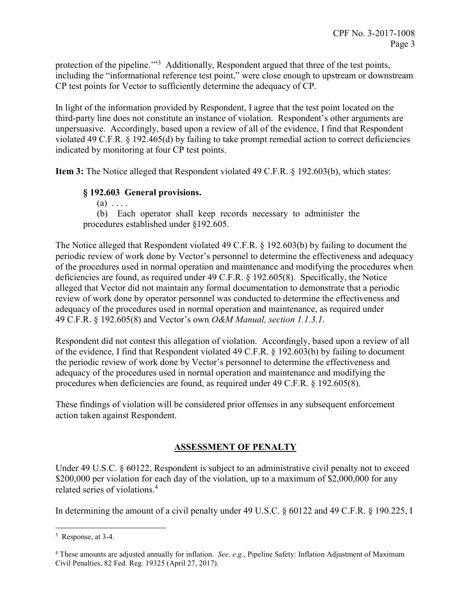protection of the pipeline."<sup>3</sup> Additionally, Respondent argued that three of the test points, including the "informational reference test point," were close enough to upstream or downstream CP test points for Vector to sufficiently determine the adequacy of CP.

 In light of the information provided by Respondent, I agree that the test point located on the third-party line does not constitute an instance of violation. Respondent's other arguments are unpersuasive. Accordingly, based upon a review of all of the evidence, I find that Respondent violated 49 C.F.R. § 192.465(d) by failing to take prompt remedial action to correct deficiencies indicated by monitoring at four CP test points.

Item 3: The Notice alleged that Respondent violated 49 C.F.R. § 192.603(b), which states:

# § 192.603 General provisions.

 $(a) \ldots$  (b) Each operator shall keep records necessary to administer the procedures established under §192.605.

 The Notice alleged that Respondent violated 49 C.F.R. § 192.603(b) by failing to document the periodic review of work done by Vector's personnel to determine the effectiveness and adequacy of the procedures used in normal operation and maintenance and modifying the procedures when deficiencies are found, as required under 49 C.F.R. § 192.605(8). Specifically, the Notice alleged that Vector did not maintain any formal documentation to demonstrate that a periodic review of work done by operator personnel was conducted to determine the effectiveness and adequacy of the procedures used in normal operation and maintenance, as required under 49 C.F.R. § 192.605(8) and Vector's own *O&M Manual, section 1.1.3.1*.

 Respondent did not contest this allegation of violation. Accordingly, based upon a review of all of the evidence, I find that Respondent violated 49 C.F.R. § 192.603(b) by failing to document the periodic review of work done by Vector's personnel to determine the effectiveness and adequacy of the procedures used in normal operation and maintenance and modifying the procedures when deficiencies are found, as required under 49 C.F.R. § 192.605(8).

 These findings of violation will be considered prior offenses in any subsequent enforcement action taken against Respondent.

# ASSESSMENT OF PENALTY

 Under 49 U.S.C. § 60122, Respondent is subject to an administrative civil penalty not to exceed \$200,000 per violation for each day of the violation, up to a maximum of \$2,000,000 for any related series of violations.<sup>4</sup>

In determining the amount of a civil penalty under 49 U.S.C. § 60122 and 49 C.F.R. § 190.225, I

1

 $3$  Response, at 3-4.

<sup>&</sup>lt;sup>4</sup> These amounts are adjusted annually for inflation. See, e.g., Pipeline Safety: Inflation Adjustment of Maximum Civil Penalties, 82 Fed. Reg. 19325 (April 27, 2017).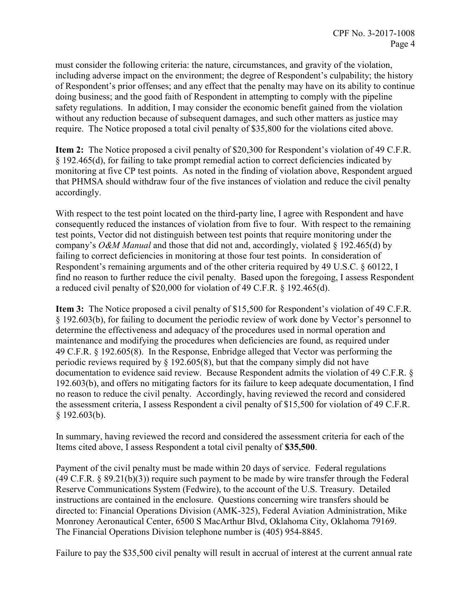must consider the following criteria: the nature, circumstances, and gravity of the violation, including adverse impact on the environment; the degree of Respondent's culpability; the history of Respondent's prior offenses; and any effect that the penalty may have on its ability to continue doing business; and the good faith of Respondent in attempting to comply with the pipeline safety regulations. In addition, I may consider the economic benefit gained from the violation without any reduction because of subsequent damages, and such other matters as justice may require. The Notice proposed a total civil penalty of \$35,800 for the violations cited above.

Item 2: The Notice proposed a civil penalty of \$20,300 for Respondent's violation of 49 C.F.R. § 192.465(d), for failing to take prompt remedial action to correct deficiencies indicated by monitoring at five CP test points. As noted in the finding of violation above, Respondent argued that PHMSA should withdraw four of the five instances of violation and reduce the civil penalty accordingly.

 With respect to the test point located on the third-party line, I agree with Respondent and have consequently reduced the instances of violation from five to four. With respect to the remaining test points, Vector did not distinguish between test points that require monitoring under the company's O&M Manual and those that did not and, accordingly, violated § 192.465(d) by failing to correct deficiencies in monitoring at those four test points. In consideration of Respondent's remaining arguments and of the other criteria required by 49 U.S.C. § 60122, I find no reason to further reduce the civil penalty. Based upon the foregoing, I assess Respondent a reduced civil penalty of \$20,000 for violation of 49 C.F.R. § 192.465(d).

Item 3: The Notice proposed a civil penalty of \$15,500 for Respondent's violation of 49 C.F.R. § 192.603(b), for failing to document the periodic review of work done by Vector's personnel to determine the effectiveness and adequacy of the procedures used in normal operation and maintenance and modifying the procedures when deficiencies are found, as required under 49 C.F.R. § 192.605(8). In the Response, Enbridge alleged that Vector was performing the periodic reviews required by § 192.605(8), but that the company simply did not have documentation to evidence said review. Because Respondent admits the violation of 49 C.F.R. § 192.603(b), and offers no mitigating factors for its failure to keep adequate documentation, I find no reason to reduce the civil penalty. Accordingly, having reviewed the record and considered the assessment criteria, I assess Respondent a civil penalty of \$15,500 for violation of 49 C.F.R. § 192.603(b).

 In summary, having reviewed the record and considered the assessment criteria for each of the Items cited above, I assess Respondent a total civil penalty of \$35,500.

 Payment of the civil penalty must be made within 20 days of service. Federal regulations  $(49 \text{ C.F.R. } § 89.21(b)(3))$  require such payment to be made by wire transfer through the Federal Reserve Communications System (Fedwire), to the account of the U.S. Treasury. Detailed instructions are contained in the enclosure. Questions concerning wire transfers should be directed to: Financial Operations Division (AMK-325), Federal Aviation Administration, Mike Monroney Aeronautical Center, 6500 S MacArthur Blvd, Oklahoma City, Oklahoma 79169. The Financial Operations Division telephone number is (405) 954-8845.

Failure to pay the \$35,500 civil penalty will result in accrual of interest at the current annual rate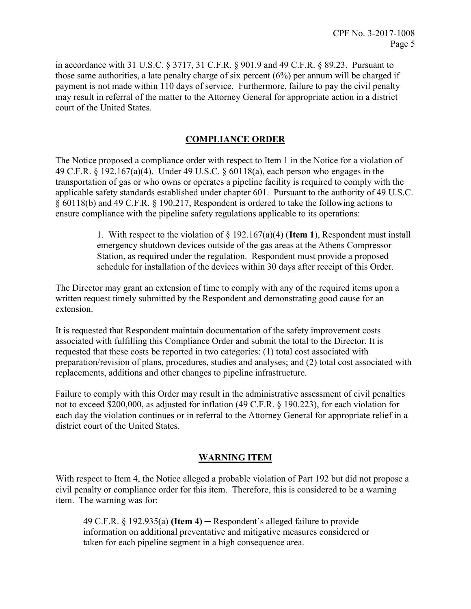in accordance with 31 U.S.C. § 3717, 31 C.F.R. § 901.9 and 49 C.F.R. § 89.23. Pursuant to those same authorities, a late penalty charge of six percent (6%) per annum will be charged if payment is not made within 110 days of service. Furthermore, failure to pay the civil penalty may result in referral of the matter to the Attorney General for appropriate action in a district court of the United States.

# COMPLIANCE ORDER

 The Notice proposed a compliance order with respect to Item 1 in the Notice for a violation of 49 C.F.R. § 192.167(a)(4). Under 49 U.S.C. § 60118(a), each person who engages in the transportation of gas or who owns or operates a pipeline facility is required to comply with the applicable safety standards established under chapter 601. Pursuant to the authority of 49 U.S.C. § 60118(b) and 49 C.F.R. § 190.217, Respondent is ordered to take the following actions to ensure compliance with the pipeline safety regulations applicable to its operations:

> 1. With respect to the violation of  $\S 192.167(a)(4)$  (Item 1), Respondent must install emergency shutdown devices outside of the gas areas at the Athens Compressor Station, as required under the regulation. Respondent must provide a proposed schedule for installation of the devices within 30 days after receipt of this Order.

 The Director may grant an extension of time to comply with any of the required items upon a written request timely submitted by the Respondent and demonstrating good cause for an extension.

 It is requested that Respondent maintain documentation of the safety improvement costs associated with fulfilling this Compliance Order and submit the total to the Director. It is requested that these costs be reported in two categories: (1) total cost associated with preparation/revision of plans, procedures, studies and analyses; and (2) total cost associated with replacements, additions and other changes to pipeline infrastructure.

 Failure to comply with this Order may result in the administrative assessment of civil penalties not to exceed \$200,000, as adjusted for inflation (49 C.F.R. § 190.223), for each violation for each day the violation continues or in referral to the Attorney General for appropriate relief in a district court of the United States.

#### WARNING ITEM

 With respect to Item 4, the Notice alleged a probable violation of Part 192 but did not propose a civil penalty or compliance order for this item. Therefore, this is considered to be a warning item. The warning was for:

49 C.F.R.  $\S$  192.935(a) (Item 4) — Respondent's alleged failure to provide information on additional preventative and mitigative measures considered or taken for each pipeline segment in a high consequence area.